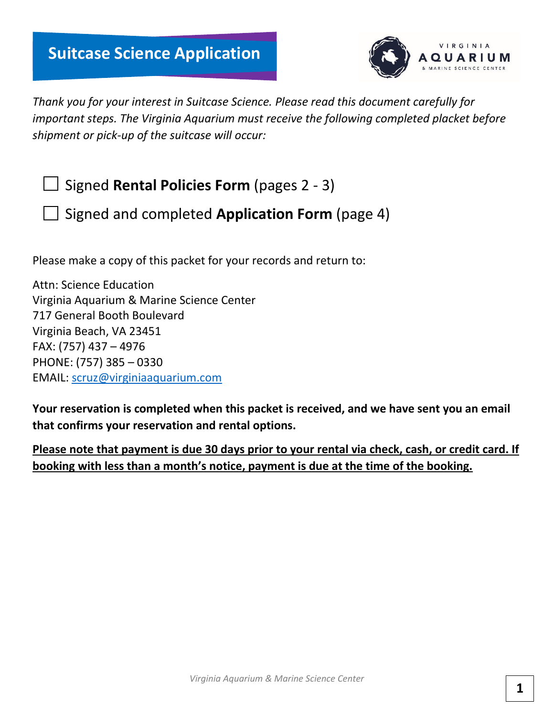

*Thank you for your interest in Suitcase Science. Please read this document carefully for important steps. The Virginia Aquarium must receive the following completed placket before shipment or pick-up of the suitcase will occur:* 

Signed **Rental Policies Form** (pages 2 - 3)

 $\Box$  Signed and completed **Application Form** (page 4)

Please make a copy of this packet for your records and return to:

Attn: Science Education Virginia Aquarium & Marine Science Center 717 General Booth Boulevard Virginia Beach, VA 23451 FAX: (757) 437 – 4976 PHONE: (757) 385 – 0330 EMAIL: [scruz@virginiaaquarium.com](mailto:scruz@virginiaaquarium.com)

**Your reservation is completed when this packet is received, and we have sent you an email that confirms your reservation and rental options.** 

**Please note that payment is due 30 days prior to your rental via check, cash, or credit card. If booking with less than a month's notice, payment is due at the time of the booking.**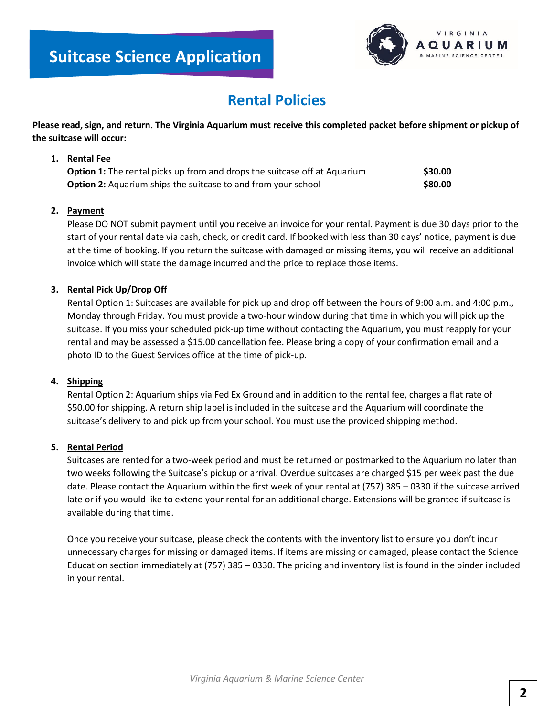

# **Rental Policies**

**Please read, sign, and return. The Virginia Aquarium must receive this completed packet before shipment or pickup of the suitcase will occur:**

#### **1. Rental Fee**

| <b>Option 1:</b> The rental picks up from and drops the suitcase off at Aquarium | \$30.00 |
|----------------------------------------------------------------------------------|---------|
| <b>Option 2:</b> Aquarium ships the suitcase to and from your school             | \$80.00 |

### **2. Payment**

Please DO NOT submit payment until you receive an invoice for your rental. Payment is due 30 days prior to the start of your rental date via cash, check, or credit card. If booked with less than 30 days' notice, payment is due at the time of booking. If you return the suitcase with damaged or missing items, you will receive an additional invoice which will state the damage incurred and the price to replace those items.

### **3. Rental Pick Up/Drop Off**

Rental Option 1: Suitcases are available for pick up and drop off between the hours of 9:00 a.m. and 4:00 p.m., Monday through Friday. You must provide a two-hour window during that time in which you will pick up the suitcase. If you miss your scheduled pick-up time without contacting the Aquarium, you must reapply for your rental and may be assessed a \$15.00 cancellation fee. Please bring a copy of your confirmation email and a photo ID to the Guest Services office at the time of pick-up.

#### **4. Shipping**

Rental Option 2: Aquarium ships via Fed Ex Ground and in addition to the rental fee, charges a flat rate of \$50.00 for shipping. A return ship label is included in the suitcase and the Aquarium will coordinate the suitcase's delivery to and pick up from your school. You must use the provided shipping method.

#### **5. Rental Period**

Suitcases are rented for a two-week period and must be returned or postmarked to the Aquarium no later than two weeks following the Suitcase's pickup or arrival. Overdue suitcases are charged \$15 per week past the due date. Please contact the Aquarium within the first week of your rental at (757) 385 – 0330 if the suitcase arrived late or if you would like to extend your rental for an additional charge. Extensions will be granted if suitcase is available during that time.

Once you receive your suitcase, please check the contents with the inventory list to ensure you don't incur unnecessary charges for missing or damaged items. If items are missing or damaged, please contact the Science Education section immediately at (757) 385 – 0330. The pricing and inventory list is found in the binder included in your rental.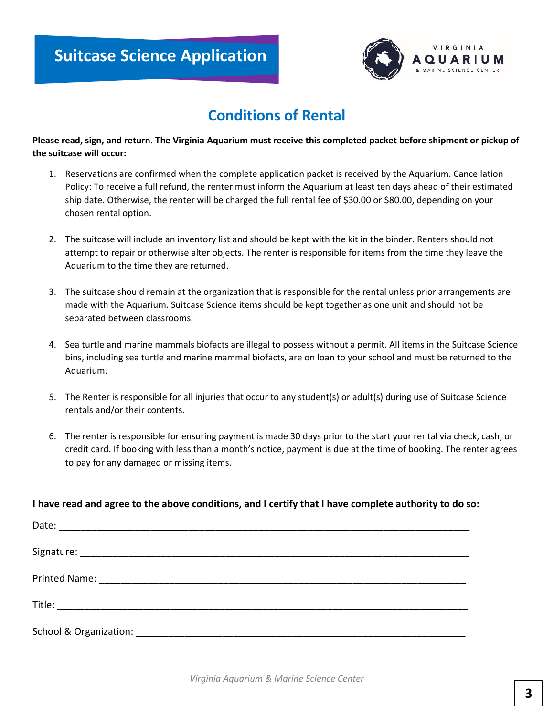

## **Conditions of Rental**

**Please read, sign, and return. The Virginia Aquarium must receive this completed packet before shipment or pickup of the suitcase will occur:**

- 1. Reservations are confirmed when the complete application packet is received by the Aquarium. Cancellation Policy: To receive a full refund, the renter must inform the Aquarium at least ten days ahead of their estimated ship date. Otherwise, the renter will be charged the full rental fee of \$30.00 or \$80.00, depending on your chosen rental option.
- 2. The suitcase will include an inventory list and should be kept with the kit in the binder. Renters should not attempt to repair or otherwise alter objects. The renter is responsible for items from the time they leave the Aquarium to the time they are returned.
- 3. The suitcase should remain at the organization that is responsible for the rental unless prior arrangements are made with the Aquarium. Suitcase Science items should be kept together as one unit and should not be separated between classrooms.
- 4. Sea turtle and marine mammals biofacts are illegal to possess without a permit. All items in the Suitcase Science bins, including sea turtle and marine mammal biofacts, are on loan to your school and must be returned to the Aquarium.
- 5. The Renter is responsible for all injuries that occur to any student(s) or adult(s) during use of Suitcase Science rentals and/or their contents.
- 6. The renter is responsible for ensuring payment is made 30 days prior to the start your rental via check, cash, or credit card. If booking with less than a month's notice, payment is due at the time of booking. The renter agrees to pay for any damaged or missing items.

#### **I have read and agree to the above conditions, and I certify that I have complete authority to do so:**